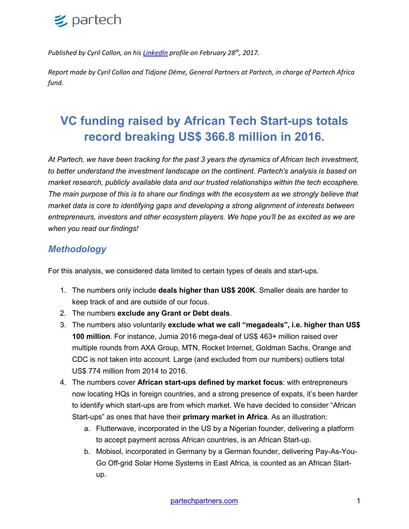

*Published by Cyril Collon, on his [LinkedIn](https://www.linkedin.com/pulse/vc-funding-raised-african-tech-startups-totals-record-cyril-collon/) profile on February 28th, 2017.*

*Report made by Cyril Collon and Tidjane Dème, General Partners at Partech, in charge of Partech Africa fund.*

## **VC funding raised by African Tech Start-ups totals record breaking US\$ 366.8 million in 2016.**

*At Partech, we have been tracking for the past 3 years the dynamics of African tech investment, to better understand the investment landscape on the continent. Partech's analysis is based on market research, publicly available data and our trusted relationships within the tech ecosphere. The main purpose of this is to share our findings with the ecosystem as we strongly believe that market data is core to identifying gaps and developing a strong alignment of interests between entrepreneurs, investors and other ecosystem players. We hope you'll be as excited as we are when you read our findings!*

### *Methodology*

For this analysis, we considered data limited to certain types of deals and start-ups.

- 1. The numbers only include **deals higher than US\$ 200K**. Smaller deals are harder to keep track of and are outside of our focus.
- 2. The numbers **exclude any Grant or Debt deals**.
- 3. The numbers also voluntarily **exclude what we call "megadeals", i.e. higher than US\$ 100 million**. For instance, Jumia 2016 mega-deal of US\$ 463+ million raised over multiple rounds from AXA Group, MTN, Rocket Internet, Goldman Sachs, Orange and CDC is not taken into account. Large (and excluded from our numbers) outliers total US\$ 774 million from 2014 to 2016.
- 4. The numbers cover **African start-ups defined by market focus**: with entrepreneurs now locating HQs in foreign countries, and a strong presence of expats, it's been harder to identify which start-ups are from which market. We have decided to consider "African Start-ups" as ones that have their **primary market in Africa**. As an illustration:
	- a. Flutterwave, incorporated in the US by a Nigerian founder, delivering a platform to accept payment across African countries, is an African Start-up.
	- b. Mobisol, incorporated in Germany by a German founder, delivering Pay-As-You-Go Off-grid Solar Home Systems in East Africa, is counted as an African Startup.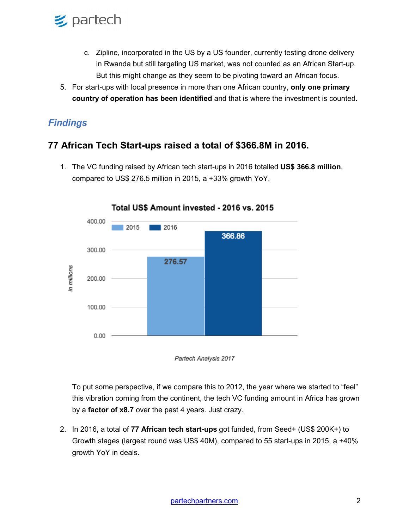

- c. Zipline, incorporated in the US by a US founder, currently testing drone delivery in Rwanda but still targeting US market, was not counted as an African Start-up. But this might change as they seem to be pivoting toward an African focus.
- 5. For start-ups with local presence in more than one African country, **only one primary country of operation has been identified** and that is where the investment is counted.

### *Findings*

### **77 African Tech Start-ups raised a total of \$366.8M in 2016.**

1. The VC funding raised by African tech start-ups in 2016 totalled **US\$ 366.8 million**, compared to US\$ 276.5 million in 2015, a +33% growth YoY.



Total US\$ Amount invested - 2016 vs. 2015



To put some perspective, if we compare this to 2012, the year where we started to "feel" this vibration coming from the continent, the tech VC funding amount in Africa has grown by a **factor of x8.7** over the past 4 years. Just crazy.

2. In 2016, a total of **77 African tech start-ups** got funded, from Seed+ (US\$ 200K+) to Growth stages (largest round was US\$ 40M), compared to 55 start-ups in 2015, a +40% growth YoY in deals.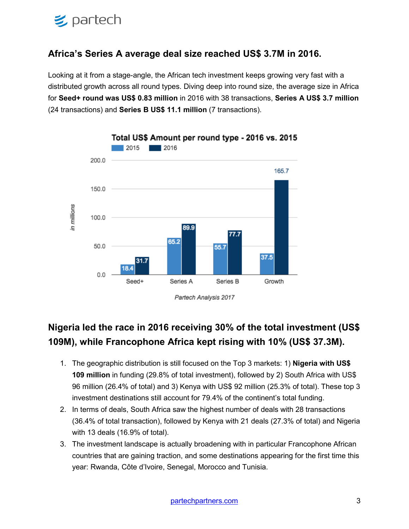

#### **Africa's Series A average deal size reached US\$ 3.7M in 2016.**

Looking at it from a stage-angle, the African tech investment keeps growing very fast with a distributed growth across all round types. Diving deep into round size, the average size in Africa for **Seed+ round was US\$ 0.83 million** in 2016 with 38 transactions, **Series A US\$ 3.7 million** (24 transactions) and **Series B US\$ 11.1 million** (7 transactions).



### **Nigeria led the race in 2016 receiving 30% of the total investment (US\$ 109M), while Francophone Africa kept rising with 10% (US\$ 37.3M).**

- 1. The geographic distribution is still focused on the Top 3 markets: 1) **Nigeria with US\$ 109 million** in funding (29.8% of total investment), followed by 2) South Africa with US\$ 96 million (26.4% of total) and 3) Kenya with US\$ 92 million (25.3% of total). These top 3 investment destinations still account for 79.4% of the continent's total funding.
- 2. In terms of deals, South Africa saw the highest number of deals with 28 transactions (36.4% of total transaction), followed by Kenya with 21 deals (27.3% of total) and Nigeria with 13 deals (16.9% of total).
- 3. The investment landscape is actually broadening with in particular Francophone African countries that are gaining traction, and some destinations appearing for the first time this year: Rwanda, Côte d'Ivoire, Senegal, Morocco and Tunisia.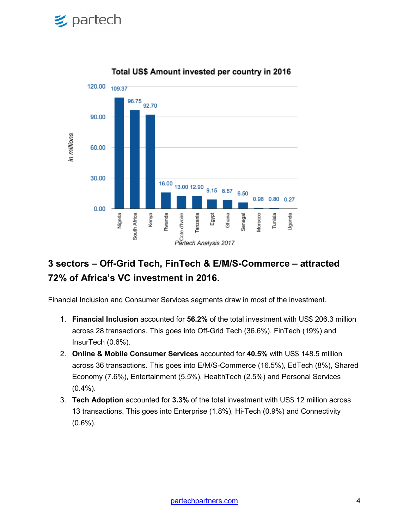# **乡 partech**



#### Total US\$ Amount invested per country in 2016

### **3 sectors – Off-Grid Tech, FinTech & E/M/S-Commerce – attracted 72% of Africa's VC investment in 2016.**

Financial Inclusion and Consumer Services segments draw in most of the investment.

- 1. **Financial Inclusion** accounted for **56.2%** of the total investment with US\$ 206.3 million across 28 transactions. This goes into Off-Grid Tech (36.6%), FinTech (19%) and InsurTech (0.6%).
- 2. **Online & Mobile Consumer Services** accounted for **40.5%** with US\$ 148.5 million across 36 transactions. This goes into E/M/S-Commerce (16.5%), EdTech (8%), Shared Economy (7.6%), Entertainment (5.5%), HealthTech (2.5%) and Personal Services (0.4%).
- 3. **Tech Adoption** accounted for **3.3%** of the total investment with US\$ 12 million across 13 transactions. This goes into Enterprise (1.8%), Hi-Tech (0.9%) and Connectivity (0.6%).